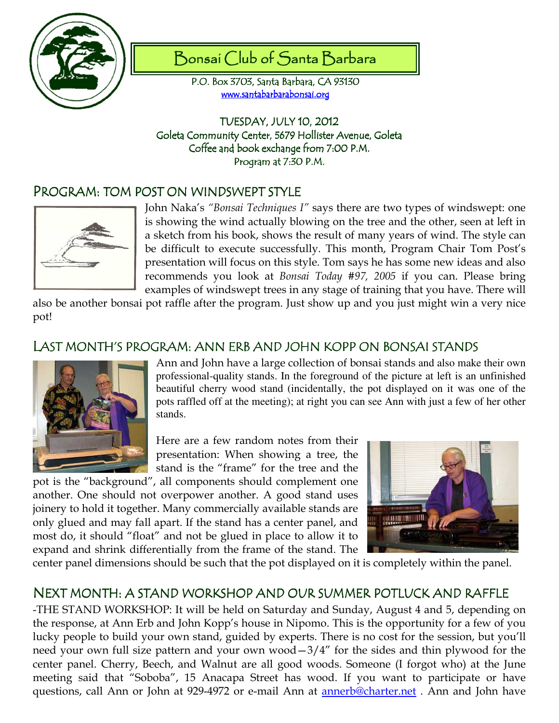

# Bonsai Club of Santa Barbara

P.O. Box 3703, Santa Barbara, CA 93130 www.santabarbarabonsai.org

TUESDAY, JULY 10, 2012 Goleta Community Center, 5679 Hollister Avenue, Goleta Coffee and book exchange from 7:00 P.M. Program at 7:30 P.M.

## PROGRAM: TOM POST ON WINDSWEPT STYLE



John Naka's "Bonsai Techniques I" says there are two types of windswept: one is showing the wind actually blowing on the tree and the other, seen at left in a sketch from his book, shows the result of many years of wind. The style can be difficult to execute successfully. This month, Program Chair Tom Post's presentation will focus on this style. Tom says he has some new ideas and also recommends you look at Bonsai Today #97, 2005 if you can. Please bring examples of windswept trees in any stage of training that you have. There will

also be another bonsai pot raffle after the program. Just show up and you just might win a very nice pot!

#### LAST MONTH'S PROGRAM: ANN ERB AND JOHN KOPP ON BONSAI STANDS



Ann and John have a large collection of bonsai stands and also make their own professional-quality stands. In the foreground of the picture at left is an unfinished beautiful cherry wood stand (incidentally, the pot displayed on it was one of the pots raffled off at the meeting); at right you can see Ann with just a few of her other stands.

Here are a few random notes from their presentation: When showing a tree, the stand is the "frame" for the tree and the

pot is the "background", all components should complement one another. One should not overpower another. A good stand uses joinery to hold it together. Many commercially available stands are only glued and may fall apart. If the stand has a center panel, and most do, it should "float" and not be glued in place to allow it to expand and shrink differentially from the frame of the stand. The



center panel dimensions should be such that the pot displayed on it is completely within the panel.

### NEXT MONTH: A STAND WORKSHOP AND OUR SUMMER POTLUCK AND RAFFLE

-THE STAND WORKSHOP: It will be held on Saturday and Sunday, August 4 and 5, depending on the response, at Ann Erb and John Kopp's house in Nipomo. This is the opportunity for a few of you lucky people to build your own stand, guided by experts. There is no cost for the session, but you'll need your own full size pattern and your own wood—3/4" for the sides and thin plywood for the center panel. Cherry, Beech, and Walnut are all good woods. Someone (I forgot who) at the June meeting said that "Soboba", 15 Anacapa Street has wood. If you want to participate or have questions, call Ann or John at 929-4972 or e-mail Ann at annerb@charter.net . Ann and John have